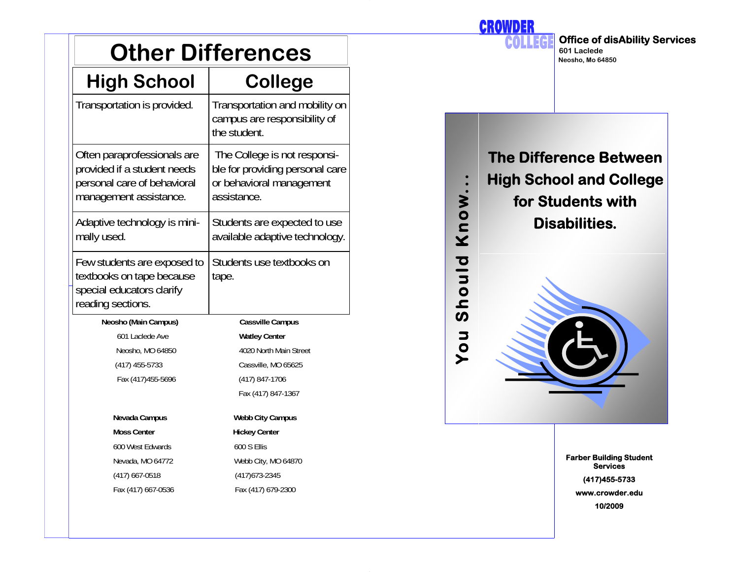| <b>Other Differences</b>                                                                                            |                                                                                                            |  |  |
|---------------------------------------------------------------------------------------------------------------------|------------------------------------------------------------------------------------------------------------|--|--|
| <b>High School</b>                                                                                                  | <b>College</b>                                                                                             |  |  |
| Transportation is provided.                                                                                         | Transportation and mobility on<br>campus are responsibility of<br>the student.                             |  |  |
| Often paraprofessionals are<br>provided if a student needs<br>personal care of behavioral<br>management assistance. | The College is not responsi-<br>ble for providing personal care<br>or behavioral management<br>assistance. |  |  |
| Adaptive technology is mini-<br>mally used.                                                                         | Students are expected to use<br>available adaptive technology.                                             |  |  |
| Few students are exposed to<br>textbooks on tape because<br>special educators clarify<br>reading sections.          | Students use textbooks on<br>tape.                                                                         |  |  |
| Neosho (Main Campus)                                                                                                | Cassville Campus                                                                                           |  |  |
| 601 Laclede Ave                                                                                                     | <b>Watley Center</b>                                                                                       |  |  |
| Neosho, MO 64850                                                                                                    | 4020 North Main Street                                                                                     |  |  |
| (417) 455-5733                                                                                                      | Cassville, MO 65625                                                                                        |  |  |
| Fax (417)455-5696                                                                                                   | (417) 847-1706                                                                                             |  |  |
|                                                                                                                     | Fax (417) 847-1367                                                                                         |  |  |
| Nevada Campus                                                                                                       | Webb City Campus                                                                                           |  |  |
| <b>Moss Center</b>                                                                                                  | <b>Hickey Center</b>                                                                                       |  |  |
| 600 West Edwards                                                                                                    | 600 S Ellis                                                                                                |  |  |
| Nevada, MO 64772                                                                                                    | Webb City, MO 64870                                                                                        |  |  |
| (417) 667-0518                                                                                                      | (417) 673-2345                                                                                             |  |  |
| Fax (417) 667-0536                                                                                                  | Fax (417) 679-2300                                                                                         |  |  |

**Office of disAbility Services**  COL **601 Laclede Neosho, Mo 64850The Difference Between You Should Know... High School and College**  Know... **for Students with Disabilities.**  Should Vou

**CROWDER** 

**Farber Building Student Services (417)455-5733 www.crowder.edu 10/2009**